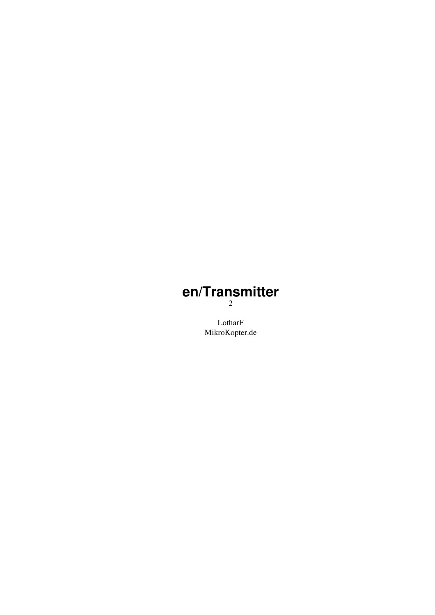### **en/Transmitter** 2

LotharF MikroKopter.de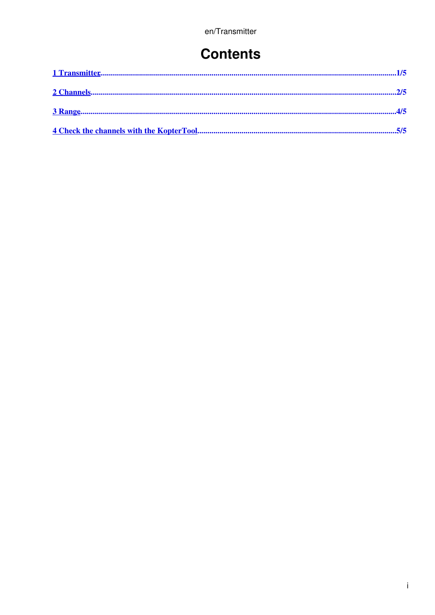### **Contents**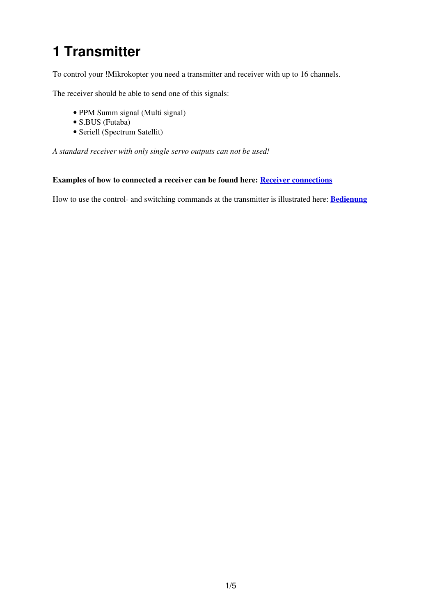# <span id="page-2-0"></span>**1 Transmitter**

To control your !Mikrokopter you need a transmitter and receiver with up to 16 channels.

The receiver should be able to send one of this signals:

- PPM Summ signal (Multi signal)
- S.BUS (Futaba)
- Seriell (Spectrum Satellit)

*A standard receiver with only single servo outputs can not be used!*

#### **Examples of how to connected a receiver can be found here: [Receiver connections](https://wiki.mikrokopter.de/en/FlightCtrl_V3.0#Receiver_connections)**

How to use the control- and switching commands at the transmitter is illustrated here: **[Bedienung](https://wiki.mikrokopter.de/en/StickSetup)**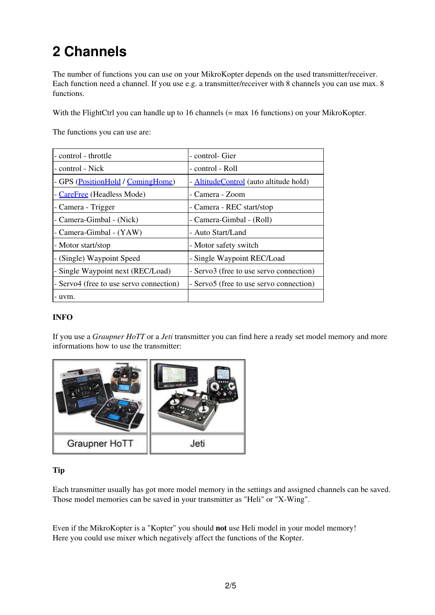# <span id="page-3-0"></span>**2 Channels**

The number of functions you can use on your MikroKopter depends on the used transmitter/receiver. Each function need a channel. If you use e.g. a transmitter/receiver with 8 channels you can use max. 8 functions.

With the FlightCtrl you can handle up to 16 channels (= max 16 functions) on your MikroKopter.

The functions you can use are:

| - control - throttle                    | - control- Gier                         |
|-----------------------------------------|-----------------------------------------|
| - control - Nick                        | - control - Roll                        |
| - GPS (PositionHold / ComingHome)       | - AltitudeControl (auto altitude hold)  |
| - CareFree (Headless Mode)              | - Camera - Zoom                         |
| - Camera - Trigger                      | - Camera - REC start/stop               |
| - Camera-Gimbal - (Nick)                | - Camera-Gimbal - (Roll)                |
| - Camera-Gimbal - (YAW)                 | - Auto Start/Land                       |
| - Motor start/stop                      | - Motor safety switch                   |
| - (Single) Waypoint Speed               | - Single Waypoint REC/Load              |
| - Single Waypoint next (REC/Load)       | - Servo3 (free to use servo connection) |
| - Servo4 (free to use servo connection) | - Servo5 (free to use servo connection) |
| - uvm.                                  |                                         |

#### **INFO**

If you use a *Graupner HoTT* or a *Jeti* transmitter you can find here a ready set model memory and more informations how to use the transmitter:



#### **Tip**

Each transmitter usually has got more model memory in the settings and assigned channels can be saved. Those model memories can be saved in your transmitter as "Heli" or "X-Wing".

Even if the MikroKopter is a "Kopter" you should **not** use Heli model in your model memory! Here you could use mixer which negatively affect the functions of the Kopter.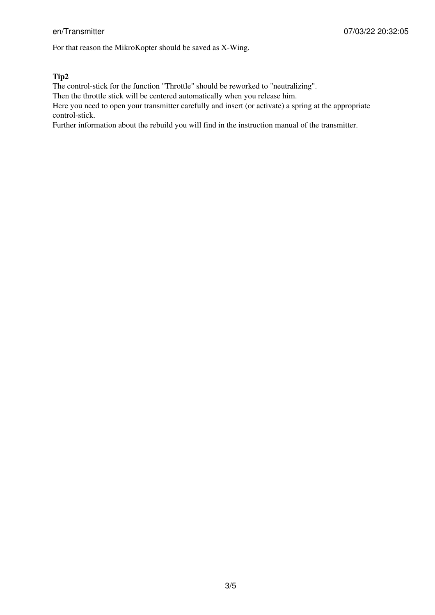For that reason the MikroKopter should be saved as X-Wing.

#### **Tip2**

The control-stick for the function "Throttle" should be reworked to "neutralizing".

Then the throttle stick will be centered automatically when you release him.

Here you need to open your transmitter carefully and insert (or activate) a spring at the appropriate control-stick.

Further information about the rebuild you will find in the instruction manual of the transmitter.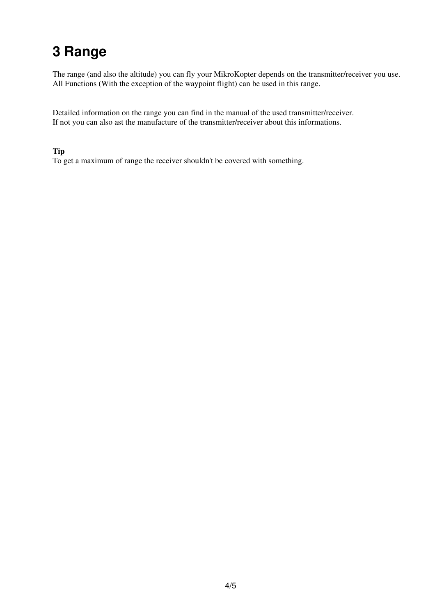## <span id="page-5-0"></span>**3 Range**

The range (and also the altitude) you can fly your MikroKopter depends on the transmitter/receiver you use. All Functions (With the exception of the waypoint flight) can be used in this range.

Detailed information on the range you can find in the manual of the used transmitter/receiver. If not you can also ast the manufacture of the transmitter/receiver about this informations.

#### **Tip**

To get a maximum of range the receiver shouldn't be covered with something.